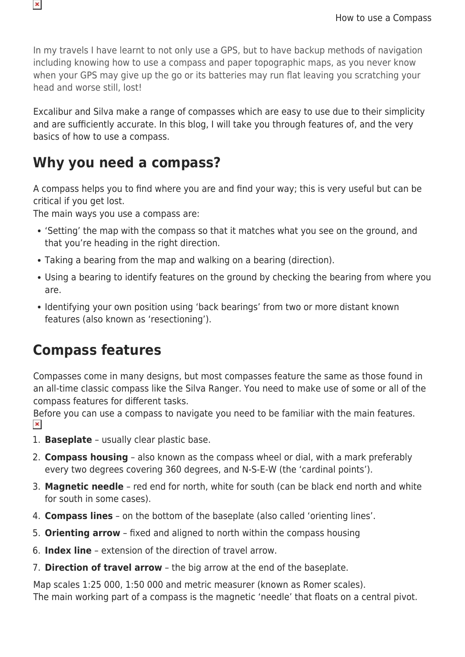In my travels I have learnt to not only use a GPS, but to have backup methods of navigation including knowing how to use a compass and paper topographic maps, as you never know when your GPS may give up the go or its batteries may run flat leaving you scratching your head and worse still, lost!

Excalibur and Silva make a range of compasses which are easy to use due to their simplicity and are sufficiently accurate. In this blog, I will take you through features of, and the very basics of how to use a compass.

## **Why you need a compass?**

A compass helps you to find where you are and find your way; this is very useful but can be critical if you get lost.

The main ways you use a compass are:

- 'Setting' the map with the compass so that it matches what you see on the ground, and that you're heading in the right direction.
- Taking a bearing from the map and walking on a bearing (direction).
- Using a bearing to identify features on the ground by checking the bearing from where you are.
- Identifying your own position using 'back bearings' from two or more distant known features (also known as 'resectioning').

## **Compass features**

Compasses come in many designs, but most compasses feature the same as those found in an all-time classic compass like the Silva Ranger. You need to make use of some or all of the compass features for different tasks.

Before you can use a compass to navigate you need to be familiar with the main features.  $\pmb{\times}$ 

- 1. **Baseplate** usually clear plastic base.
- 2. **Compass housing** also known as the compass wheel or dial, with a mark preferably every two degrees covering 360 degrees, and N-S-E-W (the 'cardinal points').
- 3. **Magnetic needle** red end for north, white for south (can be black end north and white for south in some cases).
- 4. **Compass lines** on the bottom of the baseplate (also called 'orienting lines'.
- 5. **Orienting arrow** fixed and aligned to north within the compass housing
- 6. **Index line** extension of the direction of travel arrow.
- 7. **Direction of travel arrow** the big arrow at the end of the baseplate.

Map scales 1:25 000, 1:50 000 and metric measurer (known as Romer scales). The main working part of a compass is the magnetic 'needle' that floats on a central pivot.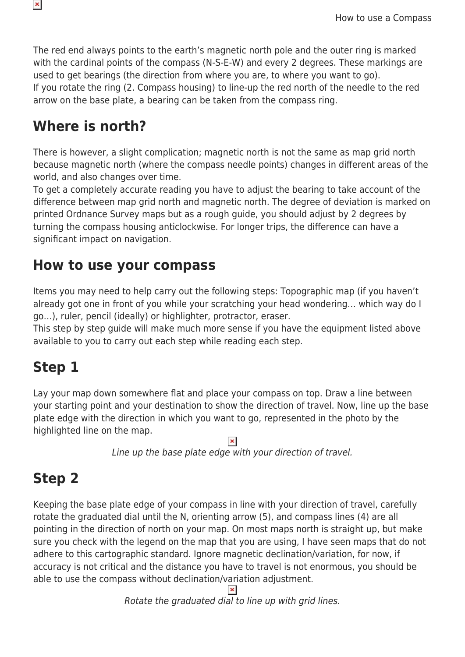The red end always points to the earth's magnetic north pole and the outer ring is marked with the cardinal points of the compass (N-S-E-W) and every 2 degrees. These markings are used to get bearings (the direction from where you are, to where you want to go). If you rotate the ring (2. Compass housing) to line-up the red north of the needle to the red arrow on the base plate, a bearing can be taken from the compass ring.

#### **Where is north?**

 $\pmb{\times}$ 

There is however, a slight complication; magnetic north is not the same as map grid north because magnetic north (where the compass needle points) changes in different areas of the world, and also changes over time.

To get a completely accurate reading you have to adjust the bearing to take account of the difference between map grid north and magnetic north. The degree of deviation is marked on printed Ordnance Survey maps but as a rough guide, you should adjust by 2 degrees by turning the compass housing anticlockwise. For longer trips, the difference can have a significant impact on navigation.

#### **How to use your compass**

Items you may need to help carry out the following steps: Topographic map (if you haven't already got one in front of you while your scratching your head wondering… which way do I go…), ruler, pencil (ideally) or highlighter, protractor, eraser.

This step by step guide will make much more sense if you have the equipment listed above available to you to carry out each step while reading each step.

# **Step 1**

Lay your map down somewhere flat and place your compass on top. Draw a line between your starting point and your destination to show the direction of travel. Now, line up the base plate edge with the direction in which you want to go, represented in the photo by the highlighted line on the map.

Line up the base plate edge with your direction of travel.

# **Step 2**

Keeping the base plate edge of your compass in line with your direction of travel, carefully rotate the graduated dial until the N, orienting arrow (5), and compass lines (4) are all pointing in the direction of north on your map. On most maps north is straight up, but make sure you check with the legend on the map that you are using, I have seen maps that do not adhere to this cartographic standard. Ignore magnetic declination/variation, for now, if accuracy is not critical and the distance you have to travel is not enormous, you should be able to use the compass without declination/variation adjustment.

Rotate the graduated dial to line up with grid lines.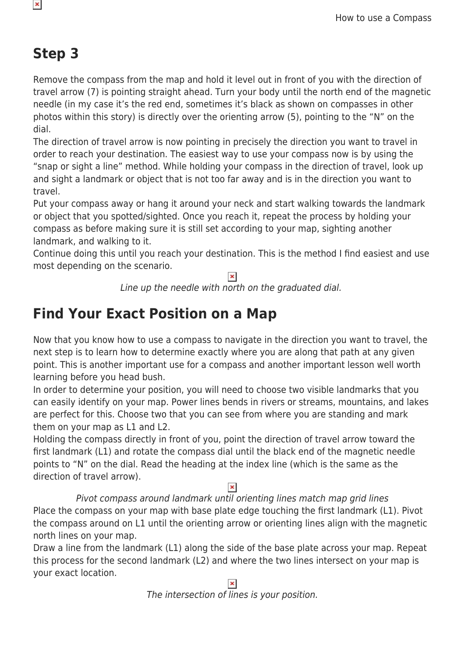# **Step 3**

 $\pmb{\times}$ 

Remove the compass from the map and hold it level out in front of you with the direction of travel arrow (7) is pointing straight ahead. Turn your body until the north end of the magnetic needle (in my case it's the red end, sometimes it's black as shown on compasses in other photos within this story) is directly over the orienting arrow (5), pointing to the "N" on the dial.

The direction of travel arrow is now pointing in precisely the direction you want to travel in order to reach your destination. The easiest way to use your compass now is by using the "snap or sight a line" method. While holding your compass in the direction of travel, look up and sight a landmark or object that is not too far away and is in the direction you want to travel.

Put your compass away or hang it around your neck and start walking towards the landmark or object that you spotted/sighted. Once you reach it, repeat the process by holding your compass as before making sure it is still set according to your map, sighting another landmark, and walking to it.

Continue doing this until you reach your destination. This is the method I find easiest and use most depending on the scenario.

Line up the needle with north on the graduated dial.

# **Find Your Exact Position on a Map**

Now that you know how to use a compass to navigate in the direction you want to travel, the next step is to learn how to determine exactly where you are along that path at any given point. This is another important use for a compass and another important lesson well worth learning before you head bush.

In order to determine your position, you will need to choose two visible landmarks that you can easily identify on your map. Power lines bends in rivers or streams, mountains, and lakes are perfect for this. Choose two that you can see from where you are standing and mark them on your map as L1 and L2.

Holding the compass directly in front of you, point the direction of travel arrow toward the first landmark (L1) and rotate the compass dial until the black end of the magnetic needle points to "N" on the dial. Read the heading at the index line (which is the same as the direction of travel arrow).

Pivot compass around landmark until orienting lines match map grid lines

Place the compass on your map with base plate edge touching the first landmark (L1). Pivot the compass around on L1 until the orienting arrow or orienting lines align with the magnetic north lines on your map.

Draw a line from the landmark (L1) along the side of the base plate across your map. Repeat this process for the second landmark (L2) and where the two lines intersect on your map is your exact location.

The intersection of lines is your position.